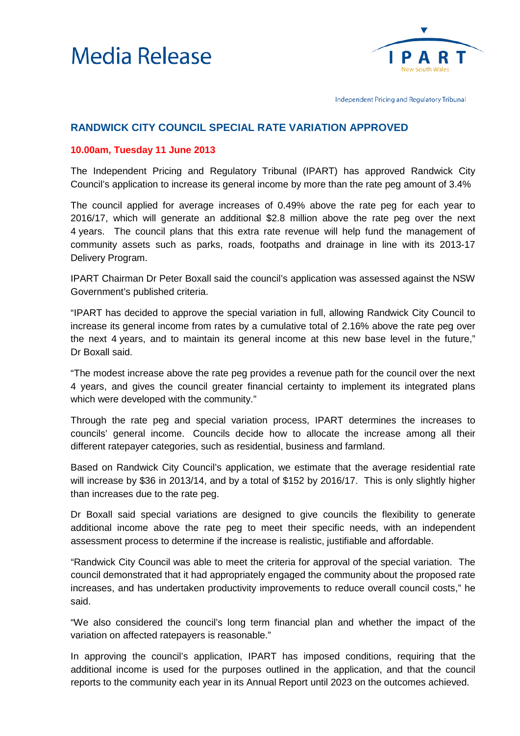



Independent Pricing and Regulatory Tribunal

## **RANDWICK CITY COUNCIL SPECIAL RATE VARIATION APPROVED**

## **10.00am, Tuesday 11 June 2013**

The Independent Pricing and Regulatory Tribunal (IPART) has approved Randwick City Council's application to increase its general income by more than the rate peg amount of 3.4%

The council applied for average increases of 0.49% above the rate peg for each year to 2016/17, which will generate an additional \$2.8 million above the rate peg over the next 4 years. The council plans that this extra rate revenue will help fund the management of community assets such as parks, roads, footpaths and drainage in line with its 2013-17 Delivery Program.

IPART Chairman Dr Peter Boxall said the council's application was assessed against the NSW Government's published criteria.

"IPART has decided to approve the special variation in full, allowing Randwick City Council to increase its general income from rates by a cumulative total of 2.16% above the rate peg over the next 4 years, and to maintain its general income at this new base level in the future," Dr Boxall said.

"The modest increase above the rate peg provides a revenue path for the council over the next 4 years, and gives the council greater financial certainty to implement its integrated plans which were developed with the community."

Through the rate peg and special variation process, IPART determines the increases to councils' general income. Councils decide how to allocate the increase among all their different ratepayer categories, such as residential, business and farmland.

Based on Randwick City Council's application, we estimate that the average residential rate will increase by \$36 in 2013/14, and by a total of \$152 by 2016/17. This is only slightly higher than increases due to the rate peg.

Dr Boxall said special variations are designed to give councils the flexibility to generate additional income above the rate peg to meet their specific needs, with an independent assessment process to determine if the increase is realistic, justifiable and affordable.

"Randwick City Council was able to meet the criteria for approval of the special variation. The council demonstrated that it had appropriately engaged the community about the proposed rate increases, and has undertaken productivity improvements to reduce overall council costs," he said.

"We also considered the council's long term financial plan and whether the impact of the variation on affected ratepayers is reasonable."

In approving the council's application, IPART has imposed conditions, requiring that the additional income is used for the purposes outlined in the application, and that the council reports to the community each year in its Annual Report until 2023 on the outcomes achieved.